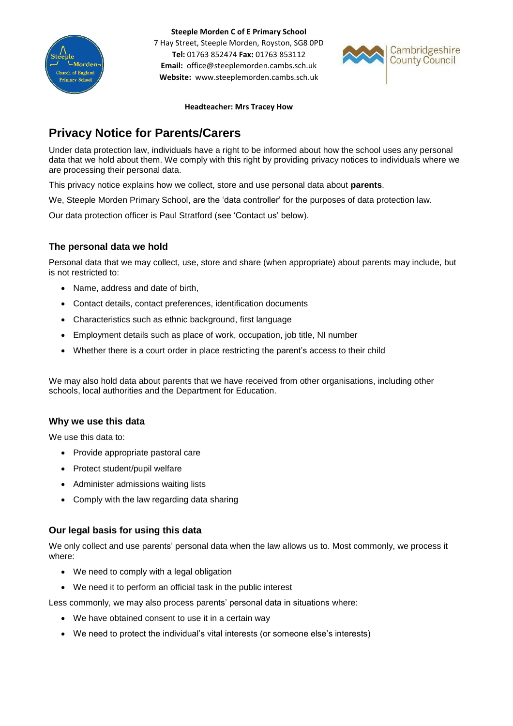

**Steeple Morden C of E Primary School**

7 Hay Street, Steeple Morden, Royston, SG8 0PD **Tel:** 01763 852474 **Fax:** 01763 853112 **Email:** office@steeplemorden.cambs.sch.uk **Website:** www.steeplemorden.cambs.sch.uk



#### **Headteacher: Mrs Tracey How**

# **Privacy Notice for Parents/Carers**

Under data protection law, individuals have a right to be informed about how the school uses any personal data that we hold about them. We comply with this right by providing privacy notices to individuals where we are processing their personal data.

This privacy notice explains how we collect, store and use personal data about **parents**.

We, Steeple Morden Primary School, are the 'data controller' for the purposes of data protection law.

Our data protection officer is Paul Stratford (see 'Contact us' below).

# **The personal data we hold**

Personal data that we may collect, use, store and share (when appropriate) about parents may include, but is not restricted to:

- Name, address and date of birth,
- Contact details, contact preferences, identification documents
- Characteristics such as ethnic background, first language
- Employment details such as place of work, occupation, job title, NI number
- Whether there is a court order in place restricting the parent's access to their child

We may also hold data about parents that we have received from other organisations, including other schools, local authorities and the Department for Education.

## **Why we use this data**

We use this data to:

- Provide appropriate pastoral care
- Protect student/pupil welfare
- Administer admissions waiting lists
- Comply with the law regarding data sharing

# **Our legal basis for using this data**

We only collect and use parents' personal data when the law allows us to. Most commonly, we process it where:

- We need to comply with a legal obligation
- We need it to perform an official task in the public interest

Less commonly, we may also process parents' personal data in situations where:

- We have obtained consent to use it in a certain way
- We need to protect the individual's vital interests (or someone else's interests)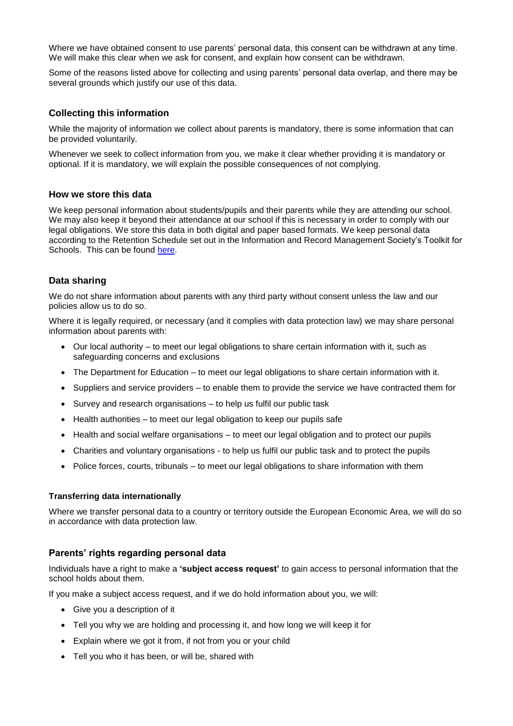Where we have obtained consent to use parents' personal data, this consent can be withdrawn at any time. We will make this clear when we ask for consent, and explain how consent can be withdrawn.

Some of the reasons listed above for collecting and using parents' personal data overlap, and there may be several grounds which justify our use of this data.

## **Collecting this information**

While the majority of information we collect about parents is mandatory, there is some information that can be provided voluntarily.

Whenever we seek to collect information from you, we make it clear whether providing it is mandatory or optional. If it is mandatory, we will explain the possible consequences of not complying.

#### **How we store this data**

We keep personal information about students/pupils and their parents while they are attending our school. We may also keep it beyond their attendance at our school if this is necessary in order to comply with our legal obligations. We store this data in both digital and paper based formats. We keep personal data according to the Retention Schedule set out in the Information and Record Management Society's Toolkit for Schools. This can be found [here.](http://irms.org.uk/?page=schoolstoolkit&terms=%22toolkit+and+schools%22)

#### **Data sharing**

We do not share information about parents with any third party without consent unless the law and our policies allow us to do so.

Where it is legally required, or necessary (and it complies with data protection law) we may share personal information about parents with:

- Our local authority to meet our legal obligations to share certain information with it, such as safeguarding concerns and exclusions
- The Department for Education to meet our legal obligations to share certain information with it.
- Suppliers and service providers to enable them to provide the service we have contracted them for
- Survey and research organisations to help us fulfil our public task
- Health authorities to meet our legal obligation to keep our pupils safe
- Health and social welfare organisations to meet our legal obligation and to protect our pupils
- Charities and voluntary organisations to help us fulfil our public task and to protect the pupils
- Police forces, courts, tribunals to meet our legal obligations to share information with them

#### **Transferring data internationally**

Where we transfer personal data to a country or territory outside the European Economic Area, we will do so in accordance with data protection law.

#### **Parents' rights regarding personal data**

Individuals have a right to make a **'subject access request'** to gain access to personal information that the school holds about them.

If you make a subject access request, and if we do hold information about you, we will:

- Give you a description of it
- Tell you why we are holding and processing it, and how long we will keep it for
- Explain where we got it from, if not from you or your child
- Tell you who it has been, or will be, shared with